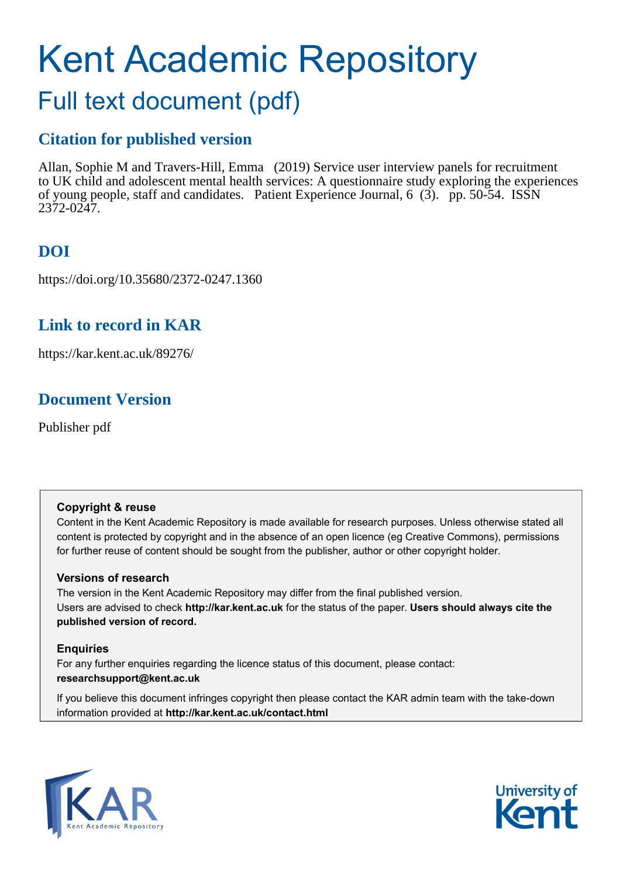# Kent Academic Repository

## Full text document (pdf)

## **Citation for published version**

Allan, Sophie M and Travers-Hill, Emma (2019) Service user interview panels for recruitment to UK child and adolescent mental health services: A questionnaire study exploring the experiences of young people, staff and candidates. Patient Experience Journal, 6 (3). pp. 50-54. ISSN 2372-0247.

## **DOI**

https://doi.org/10.35680/2372-0247.1360

## **Link to record in KAR**

https://kar.kent.ac.uk/89276/

## **Document Version**

Publisher pdf

#### **Copyright & reuse**

Content in the Kent Academic Repository is made available for research purposes. Unless otherwise stated all content is protected by copyright and in the absence of an open licence (eg Creative Commons), permissions for further reuse of content should be sought from the publisher, author or other copyright holder.

#### **Versions of research**

The version in the Kent Academic Repository may differ from the final published version. Users are advised to check **http://kar.kent.ac.uk** for the status of the paper. **Users should always cite the published version of record.**

#### **Enquiries**

For any further enquiries regarding the licence status of this document, please contact: **researchsupport@kent.ac.uk**

If you believe this document infringes copyright then please contact the KAR admin team with the take-down information provided at **http://kar.kent.ac.uk/contact.html**



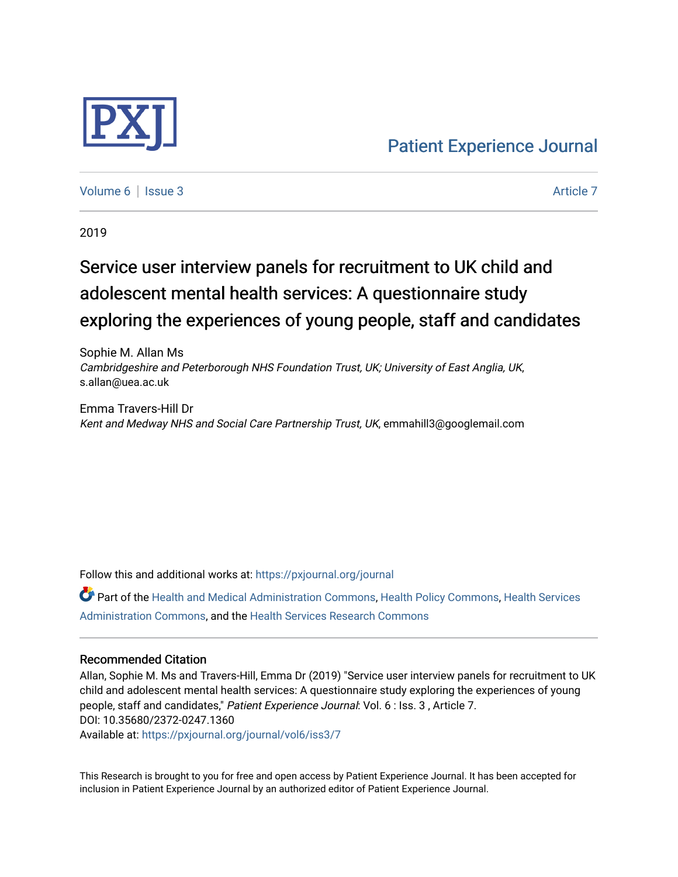

[Volume 6](https://pxjournal.org/journal/vol6) | [Issue 3](https://pxjournal.org/journal/vol6/iss3) Article 7

2019

## Service user interview panels for recruitment to UK child and adolescent mental health services: A questionnaire study exploring the experiences of young people, staff and candidates

Sophie M. Allan Ms Cambridgeshire and Peterborough NHS Foundation Trust, UK; University of East Anglia, UK, s.allan@uea.ac.uk

Emma Travers-Hill Dr Kent and Medway NHS and Social Care Partnership Trust, UK, emmahill3@googlemail.com

Follow this and additional works at: [https://pxjournal.org/journal](https://pxjournal.org/journal?utm_source=pxjournal.org%2Fjournal%2Fvol6%2Fiss3%2F7&utm_medium=PDF&utm_campaign=PDFCoverPages) 

Part of the [Health and Medical Administration Commons](http://network.bepress.com/hgg/discipline/663?utm_source=pxjournal.org%2Fjournal%2Fvol6%2Fiss3%2F7&utm_medium=PDF&utm_campaign=PDFCoverPages), [Health Policy Commons,](http://network.bepress.com/hgg/discipline/395?utm_source=pxjournal.org%2Fjournal%2Fvol6%2Fiss3%2F7&utm_medium=PDF&utm_campaign=PDFCoverPages) [Health Services](http://network.bepress.com/hgg/discipline/747?utm_source=pxjournal.org%2Fjournal%2Fvol6%2Fiss3%2F7&utm_medium=PDF&utm_campaign=PDFCoverPages) [Administration Commons,](http://network.bepress.com/hgg/discipline/747?utm_source=pxjournal.org%2Fjournal%2Fvol6%2Fiss3%2F7&utm_medium=PDF&utm_campaign=PDFCoverPages) and the [Health Services Research Commons](http://network.bepress.com/hgg/discipline/816?utm_source=pxjournal.org%2Fjournal%2Fvol6%2Fiss3%2F7&utm_medium=PDF&utm_campaign=PDFCoverPages) 

#### Recommended Citation

Allan, Sophie M. Ms and Travers-Hill, Emma Dr (2019) "Service user interview panels for recruitment to UK child and adolescent mental health services: A questionnaire study exploring the experiences of young people, staff and candidates," Patient Experience Journal: Vol. 6 : Iss. 3 , Article 7. DOI: 10.35680/2372-0247.1360 Available at: [https://pxjournal.org/journal/vol6/iss3/7](https://pxjournal.org/journal/vol6/iss3/7?utm_source=pxjournal.org%2Fjournal%2Fvol6%2Fiss3%2F7&utm_medium=PDF&utm_campaign=PDFCoverPages) 

This Research is brought to you for free and open access by Patient Experience Journal. It has been accepted for inclusion in Patient Experience Journal by an authorized editor of Patient Experience Journal.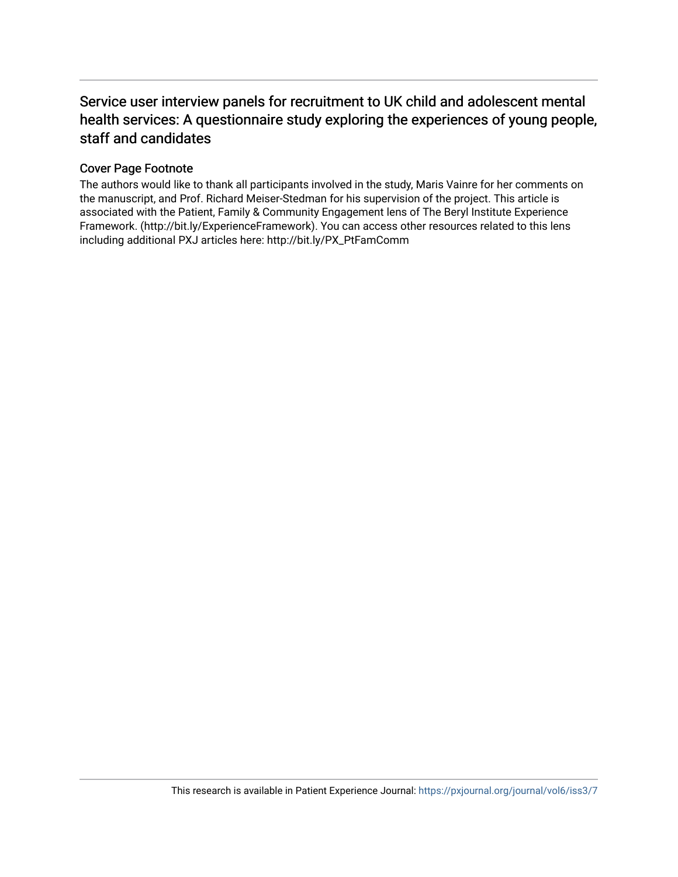### Service user interview panels for recruitment to UK child and adolescent mental health services: A questionnaire study exploring the experiences of young people, staff and candidates

#### Cover Page Footnote

The authors would like to thank all participants involved in the study, Maris Vainre for her comments on the manuscript, and Prof. Richard Meiser-Stedman for his supervision of the project. This article is associated with the Patient, Family & Community Engagement lens of The Beryl Institute Experience Framework. (http://bit.ly/ExperienceFramework). You can access other resources related to this lens including additional PXJ articles here: http://bit.ly/PX\_PtFamComm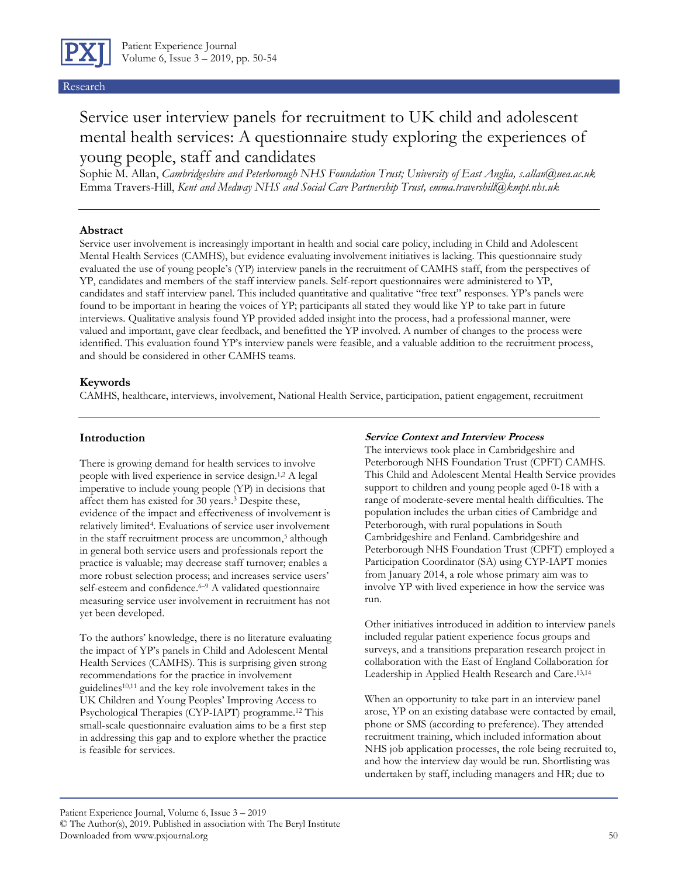

#### Research

## Service user interview panels for recruitment to UK child and adolescent mental health services: A questionnaire study exploring the experiences of young people, staff and candidates

Sophie M. Allan, *Cambridgeshire and Peterborough NHS Foundation Trust; University of East Anglia, [s.allan@uea.ac.uk](mailto:s.allan@uea.ac.uk)* Emma Travers-Hill, *Kent and Medway NHS and Social Care Partnership Trust, emma.travershill@kmpt.nhs.uk*

#### **Abstract**

Service user involvement is increasingly important in health and social care policy, including in Child and Adolescent Mental Health Services (CAMHS), but evidence evaluating involvement initiatives is lacking. This questionnaire study evaluated the use of young people's (YP) interview panels in the recruitment of CAMHS staff, from the perspectives of YP, candidates and members of the staff interview panels. Self-report questionnaires were administered to YP, candidates and staff interview panel. This included quantitative and qualitative "free text" responses. YP's panels were found to be important in hearing the voices of YP; participants all stated they would like YP to take part in future interviews. Qualitative analysis found YP provided added insight into the process, had a professional manner, were valued and important, gave clear feedback, and benefitted the YP involved. A number of changes to the process were identified. This evaluation found YP's interview panels were feasible, and a valuable addition to the recruitment process, and should be considered in other CAMHS teams.

#### **Keywords**

CAMHS, healthcare, interviews, involvement, National Health Service, participation, patient engagement, recruitment

#### **Introduction**

There is growing demand for health services to involve people with lived experience in service design. 1,2 A legal imperative to include young people (YP) in decisions that affect them has existed for 30 years. <sup>3</sup> Despite these, evidence of the impact and effectiveness of involvement is relatively limited<sup>4</sup> . Evaluations of service user involvement in the staff recruitment process are uncommon, <sup>5</sup> although in general both service users and professionals report the practice is valuable; may decrease staff turnover; enables a more robust selection process; and increases service users' self-esteem and confidence.<sup>6-9</sup> A validated questionnaire measuring service user involvement in recruitment has not yet been developed.

To the authors' knowledge, there is no literature evaluating the impact of YP's panels in Child and Adolescent Mental Health Services (CAMHS). This is surprising given strong recommendations for the practice in involvement guidelines<sup>10,11</sup> and the key role involvement takes in the UK Children and Young Peoples' Improving Access to Psychological Therapies (CYP-IAPT) programme. <sup>12</sup> This small-scale questionnaire evaluation aims to be a first step in addressing this gap and to explore whether the practice is feasible for services.

#### **Service Context and Interview Process**

The interviews took place in Cambridgeshire and Peterborough NHS Foundation Trust (CPFT) CAMHS. This Child and Adolescent Mental Health Service provides support to children and young people aged 0-18 with a range of moderate-severe mental health difficulties. The population includes the urban cities of Cambridge and Peterborough, with rural populations in South Cambridgeshire and Fenland. Cambridgeshire and Peterborough NHS Foundation Trust (CPFT) employed a Participation Coordinator (SA) using CYP-IAPT monies from January 2014, a role whose primary aim was to involve YP with lived experience in how the service was run.

Other initiatives introduced in addition to interview panels included regular patient experience focus groups and surveys, and a transitions preparation research project in collaboration with the East of England Collaboration for Leadership in Applied Health Research and Care. 13,14

When an opportunity to take part in an interview panel arose, YP on an existing database were contacted by email, phone or SMS (according to preference). They attended recruitment training, which included information about NHS job application processes, the role being recruited to, and how the interview day would be run. Shortlisting was undertaken by staff, including managers and HR; due to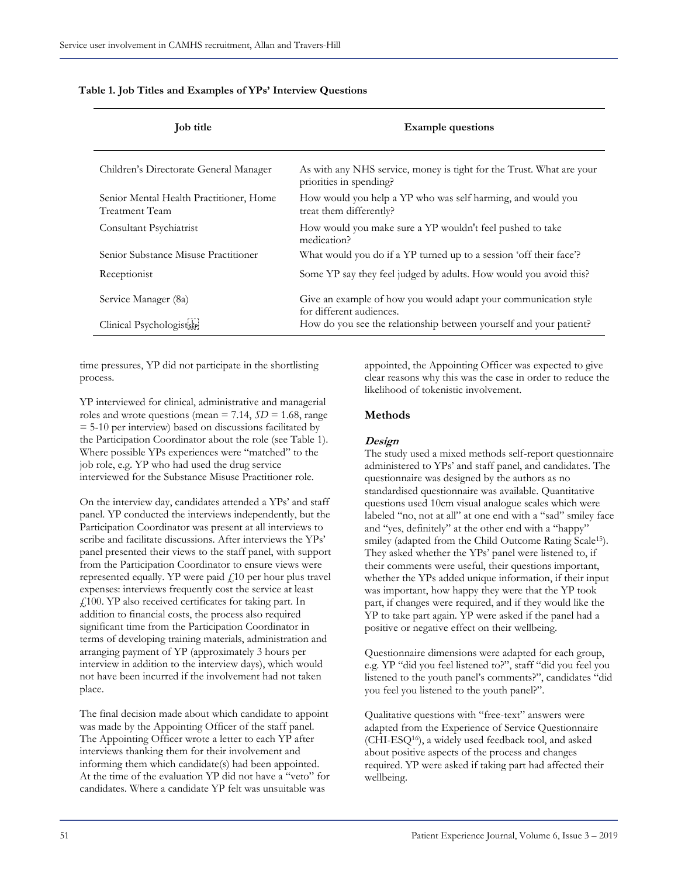| <b>Job title</b>                                          | <b>Example questions</b>                                                                        |
|-----------------------------------------------------------|-------------------------------------------------------------------------------------------------|
| Children's Directorate General Manager                    | As with any NHS service, money is tight for the Trust. What are your<br>priorities in spending? |
| Senior Mental Health Practitioner, Home<br>Treatment Team | How would you help a YP who was self harming, and would you<br>treat them differently?          |
| Consultant Psychiatrist                                   | How would you make sure a YP wouldn't feel pushed to take<br>medication?                        |
| Senior Substance Misuse Practitioner                      | What would you do if a YP turned up to a session 'off their face'?                              |
| Receptionist                                              | Some YP say they feel judged by adults. How would you avoid this?                               |
| Service Manager (8a)                                      | Give an example of how you would adapt your communication style<br>for different audiences.     |
| Clinical Psychologistser                                  | How do you see the relationship between yourself and your patient?                              |

#### **Table 1. Job Titles and Examples of YPs' Interview Questions**

time pressures, YP did not participate in the shortlisting process.

YP interviewed for clinical, administrative and managerial roles and wrote questions (mean  $= 7.14$ ,  $SD = 1.68$ , range  $= 5-10$  per interview) based on discussions facilitated by the Participation Coordinator about the role (see Table 1). Where possible YPs experiences were "matched" to the job role, e.g. YP who had used the drug service interviewed for the Substance Misuse Practitioner role.

On the interview day, candidates attended a YPs' and staff panel. YP conducted the interviews independently, but the Participation Coordinator was present at all interviews to scribe and facilitate discussions. After interviews the YPs' panel presented their views to the staff panel, with support from the Participation Coordinator to ensure views were represented equally. YP were paid  $f$ 10 per hour plus travel expenses: interviews frequently cost the service at least £100. YP also received certificates for taking part. In addition to financial costs, the process also required significant time from the Participation Coordinator in terms of developing training materials, administration and arranging payment of YP (approximately 3 hours per interview in addition to the interview days), which would not have been incurred if the involvement had not taken place.

The final decision made about which candidate to appoint was made by the Appointing Officer of the staff panel. The Appointing Officer wrote a letter to each YP after interviews thanking them for their involvement and informing them which candidate(s) had been appointed. At the time of the evaluation YP did not have a "veto" for candidates. Where a candidate YP felt was unsuitable was

appointed, the Appointing Officer was expected to give clear reasons why this was the case in order to reduce the likelihood of tokenistic involvement.

#### **Methods**

#### **Design**

The study used a mixed methods self-report questionnaire administered to YPs' and staff panel, and candidates. The questionnaire was designed by the authors as no standardised questionnaire was available. Quantitative questions used 10cm visual analogue scales which were labeled "no, not at all" at one end with a "sad" smiley face and "yes, definitely" at the other end with a "happy" smiley (adapted from the Child Outcome Rating Scale15). They asked whether the YPs' panel were listened to, if their comments were useful, their questions important, whether the YPs added unique information, if their input was important, how happy they were that the YP took part, if changes were required, and if they would like the YP to take part again. YP were asked if the panel had a positive or negative effect on their wellbeing.

Questionnaire dimensions were adapted for each group, e.g. YP "did you feel listened to?", staff "did you feel you listened to the youth panel's comments?", candidates "did you feel you listened to the youth panel?".

Qualitative questions with "free-text" answers were adapted from the Experience of Service Questionnaire (CHI-ESQ16), a widely used feedback tool, and asked about positive aspects of the process and changes required. YP were asked if taking part had affected their wellbeing.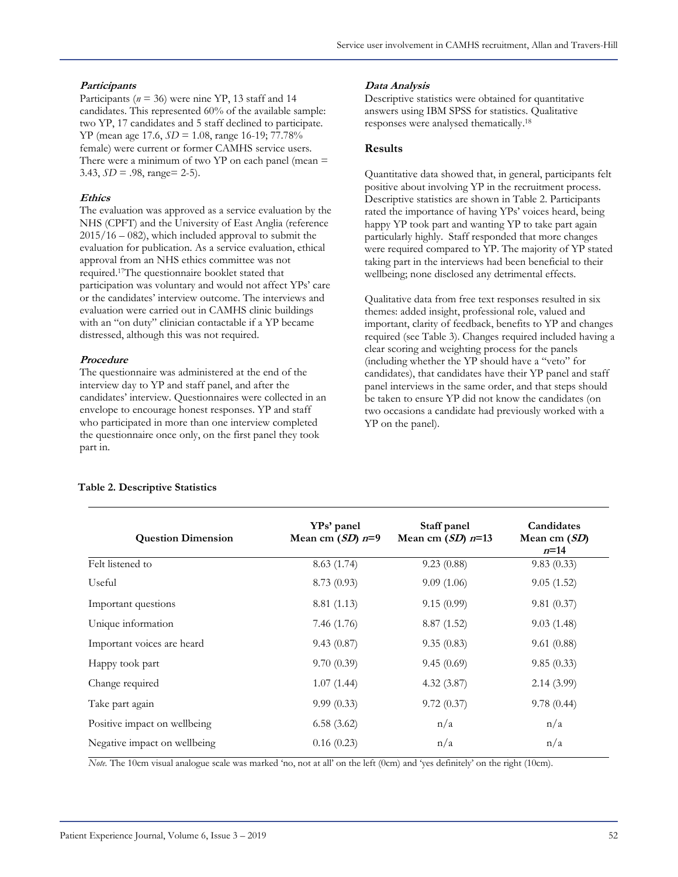#### **Participants**

Participants ( $n = 36$ ) were nine YP, 13 staff and 14 candidates. This represented 60% of the available sample: two YP, 17 candidates and 5 staff declined to participate. YP (mean age 17.6, *SD* = 1.08, range 16-19; 77.78% female) were current or former CAMHS service users. There were a minimum of two  $YP$  on each panel (mean  $=$ 3.43, *SD* = .98, range= 2-5).

#### **Ethics**

The evaluation was approved as a service evaluation by the NHS (CPFT) and the University of East Anglia (reference 2015/16 – 082), which included approval to submit the evaluation for publication. As a service evaluation, ethical approval from an NHS ethics committee was not required. <sup>17</sup>The questionnaire booklet stated that participation was voluntary and would not affect YPs' care or the candidates' interview outcome. The interviews and evaluation were carried out in CAMHS clinic buildings with an "on duty" clinician contactable if a YP became distressed, although this was not required.

#### **Procedure**

The questionnaire was administered at the end of the interview day to YP and staff panel, and after the candidates' interview. Questionnaires were collected in an envelope to encourage honest responses. YP and staff who participated in more than one interview completed the questionnaire once only, on the first panel they took part in.

#### **Data Analysis**

Descriptive statistics were obtained for quantitative answers using IBM SPSS for statistics. Qualitative responses were analysed thematically. 18

#### **Results**

Quantitative data showed that, in general, participants felt positive about involving YP in the recruitment process. Descriptive statistics are shown in Table 2. Participants rated the importance of having YPs' voices heard, being happy YP took part and wanting YP to take part again particularly highly. Staff responded that more changes were required compared to YP. The majority of YP stated taking part in the interviews had been beneficial to their wellbeing; none disclosed any detrimental effects.

Qualitative data from free text responses resulted in six themes: added insight, professional role, valued and important, clarity of feedback, benefits to YP and changes required (see Table 3). Changes required included having a clear scoring and weighting process for the panels (including whether the YP should have a "veto" for candidates), that candidates have their YP panel and staff panel interviews in the same order, and that steps should be taken to ensure YP did not know the candidates (on two occasions a candidate had previously worked with a YP on the panel).

| <b>Question Dimension</b>    | YPs' panel<br>Mean cm $(SD)$ n=9 | Staff panel<br>Mean cm $(SD)$ n=13 | Candidates<br>Mean cm $(SD)$<br>$n=14$ |
|------------------------------|----------------------------------|------------------------------------|----------------------------------------|
| Felt listened to             | 8.63(1.74)                       | 9.23(0.88)                         | 9.83(0.33)                             |
| Useful                       | 8.73(0.93)                       | 9.09(1.06)                         | 9.05(1.52)                             |
| Important questions          | 8.81 (1.13)                      | 9.15(0.99)                         | 9.81(0.37)                             |
| Unique information           | 7.46 (1.76)                      | 8.87(1.52)                         | 9.03(1.48)                             |
| Important voices are heard   | 9.43(0.87)                       | 9.35(0.83)                         | 9.61(0.88)                             |
| Happy took part              | 9.70(0.39)                       | 9.45(0.69)                         | 9.85(0.33)                             |
| Change required              | 1.07(1.44)                       | 4.32(3.87)                         | 2.14(3.99)                             |
| Take part again              | 9.99(0.33)                       | 9.72(0.37)                         | 9.78(0.44)                             |
| Positive impact on wellbeing | 6.58(3.62)                       | n/a                                | n/a                                    |
| Negative impact on wellbeing | 0.16(0.23)                       | n/a                                | n/a                                    |

#### **Table 2. Descriptive Statistics**

*Note.* The 10cm visual analogue scale was marked 'no, not at all' on the left (0cm) and 'yes definitely' on the right (10cm).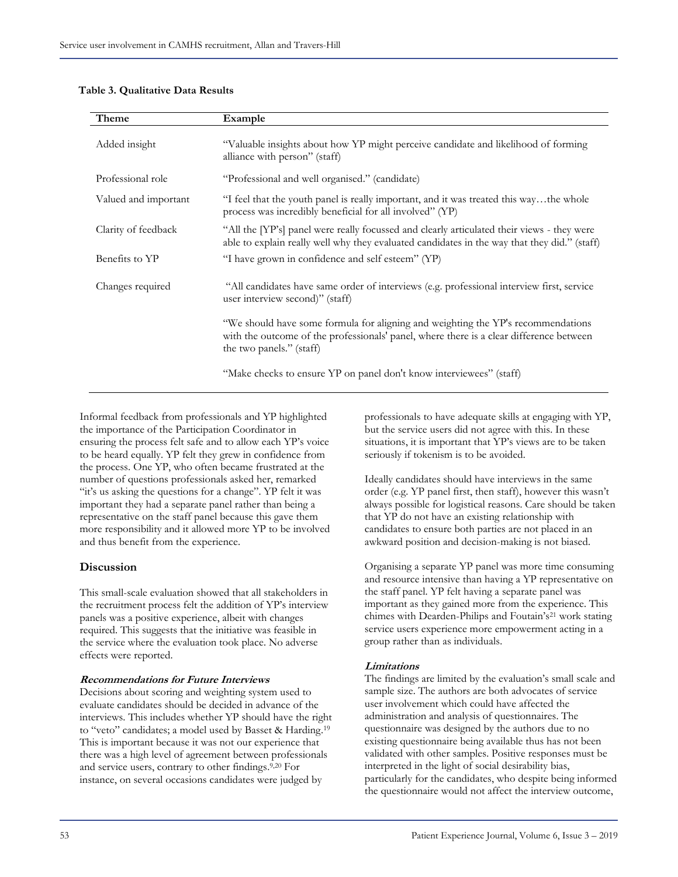#### **Table 3. Qualitative Data Results**

| Theme                | Example                                                                                                                                                                                                 |
|----------------------|---------------------------------------------------------------------------------------------------------------------------------------------------------------------------------------------------------|
| Added insight        | "Valuable insights about how YP might perceive candidate and likelihood of forming<br>alliance with person" (staff)                                                                                     |
| Professional role    | "Professional and well organised." (candidate)                                                                                                                                                          |
| Valued and important | "I feel that the youth panel is really important, and it was treated this waythe whole<br>process was incredibly beneficial for all involved" (YP)                                                      |
| Clarity of feedback  | "All the [YP's] panel were really focussed and clearly articulated their views - they were<br>able to explain really well why they evaluated candidates in the way that they did." (staff)              |
| Benefits to YP       | "I have grown in confidence and self esteem" (YP)                                                                                                                                                       |
| Changes required     | "All candidates have same order of interviews (e.g. professional interview first, service<br>user interview second)" (staff)                                                                            |
|                      | "We should have some formula for aligning and weighting the YP's recommendations<br>with the outcome of the professionals' panel, where there is a clear difference between<br>the two panels." (staff) |
|                      | "Make checks to ensure YP on panel don't know interviewees" (staff)                                                                                                                                     |

Informal feedback from professionals and YP highlighted the importance of the Participation Coordinator in ensuring the process felt safe and to allow each YP's voice to be heard equally. YP felt they grew in confidence from the process. One YP, who often became frustrated at the number of questions professionals asked her, remarked "it's us asking the questions for a change". YP felt it was important they had a separate panel rather than being a representative on the staff panel because this gave them more responsibility and it allowed more YP to be involved and thus benefit from the experience.

#### **Discussion**

This small-scale evaluation showed that all stakeholders in the recruitment process felt the addition of YP's interview panels was a positive experience, albeit with changes required. This suggests that the initiative was feasible in the service where the evaluation took place. No adverse effects were reported.

#### **Recommendations for Future Interviews**

Decisions about scoring and weighting system used to evaluate candidates should be decided in advance of the interviews. This includes whether YP should have the right to "veto" candidates; a model used by Basset & Harding.<sup>19</sup> This is important because it was not our experience that there was a high level of agreement between professionals and service users, contrary to other findings. 9,20 For instance, on several occasions candidates were judged by

professionals to have adequate skills at engaging with YP, but the service users did not agree with this. In these situations, it is important that YP's views are to be taken seriously if tokenism is to be avoided.

Ideally candidates should have interviews in the same order (e.g. YP panel first, then staff), however this wasn't always possible for logistical reasons. Care should be taken that YP do not have an existing relationship with candidates to ensure both parties are not placed in an awkward position and decision-making is not biased.

Organising a separate YP panel was more time consuming and resource intensive than having a YP representative on the staff panel. YP felt having a separate panel was important as they gained more from the experience. This chimes with Dearden-Philips and Foutain's<sup>21</sup> work stating service users experience more empowerment acting in a group rather than as individuals.

#### **Limitations**

The findings are limited by the evaluation's small scale and sample size. The authors are both advocates of service user involvement which could have affected the administration and analysis of questionnaires. The questionnaire was designed by the authors due to no existing questionnaire being available thus has not been validated with other samples. Positive responses must be interpreted in the light of social desirability bias, particularly for the candidates, who despite being informed the questionnaire would not affect the interview outcome,